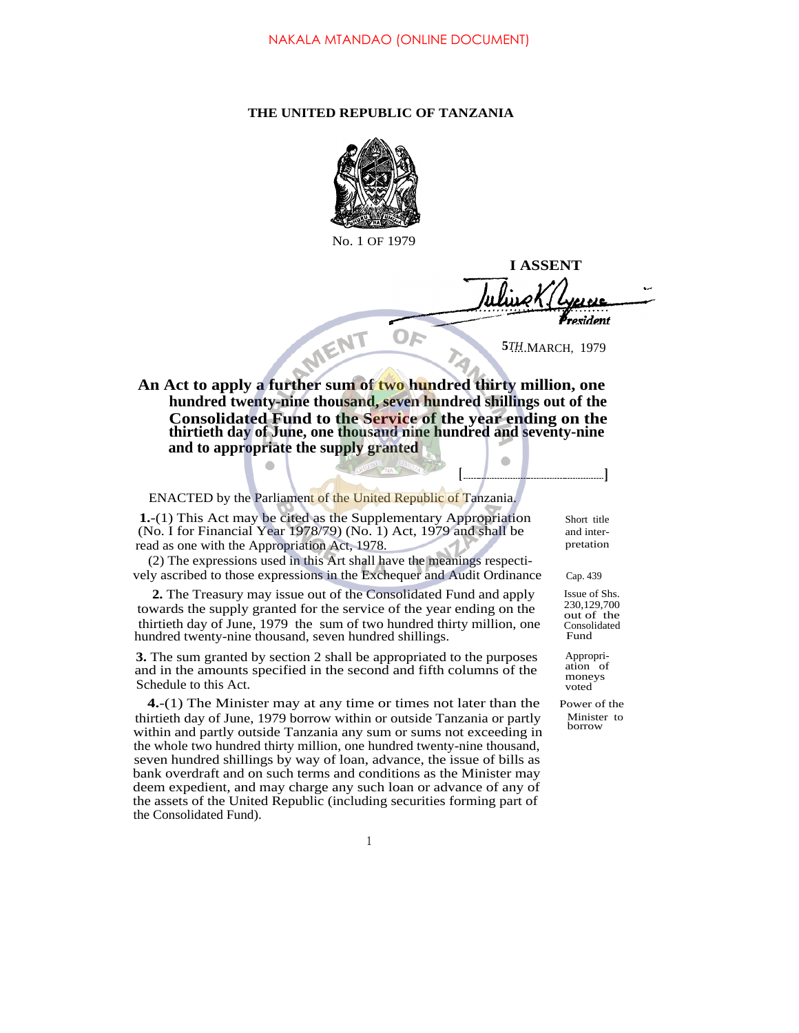## **THE UNITED REPUBLIC OF TANZANIA**



No. 1 OF 1979

**I ASSENT** resident **5***TH*.MARCH, 1979

**[ ]**

 $\bullet$ 

**An Act to apply a further sum of two hundred thirty million, one hundred twenty-nine thousand, seven hundred shillings out of the Consolidated Fund to the Service of the year ending on the thirtieth day of June, one thousand nine hundred and seventy-nine and to appropriate the supply granted**

ENACTED by the Parliament of the United Republic of Tanzania.

MENT

**1.**-(1) This Act may be cited as the Supplementary Appropriation (No. I for Financial Year 1978/79) (No. 1) Act, 1979 and shall be read as one with the Appropriation Act, 1978.

(2) The expressions used in this Art shall have the meanings respectively ascribed to those expressions in the Exchequer and Audit Ordinance

**2.** The Treasury may issue out of the Consolidated Fund and apply towards the supply granted for the service of the year ending on the thirtieth day of June, 1979 the sum of two hundred thirty million, one hundred twenty-nine thousand, seven hundred shillings.

**3.** The sum granted by section 2 shall be appropriated to the purposes and in the amounts specified in the second and fifth columns of the ation of Schedule to this Act.

**4.**-(1) The Minister may at any time or times not later than the Power of the thirtieth day of June, 1979 borrow within or outside Tanzania or partly within and partly outside Tanzania any sum or sums not exceeding in the whole two hundred thirty million, one hundred twenty-nine thousand, seven hundred shillings by way of loan, advance, the issue of bills as bank overdraft and on such terms and conditions as the Minister may deem expedient, and may charge any such loan or advance of any of the assets of the United Republic (including securities forming part of the Consolidated Fund).

Short title and inter-

Cap. 439

Issue of Shs. 230,129,700 out of the Consolidated Fund

Appropriation of

Minister to borrow